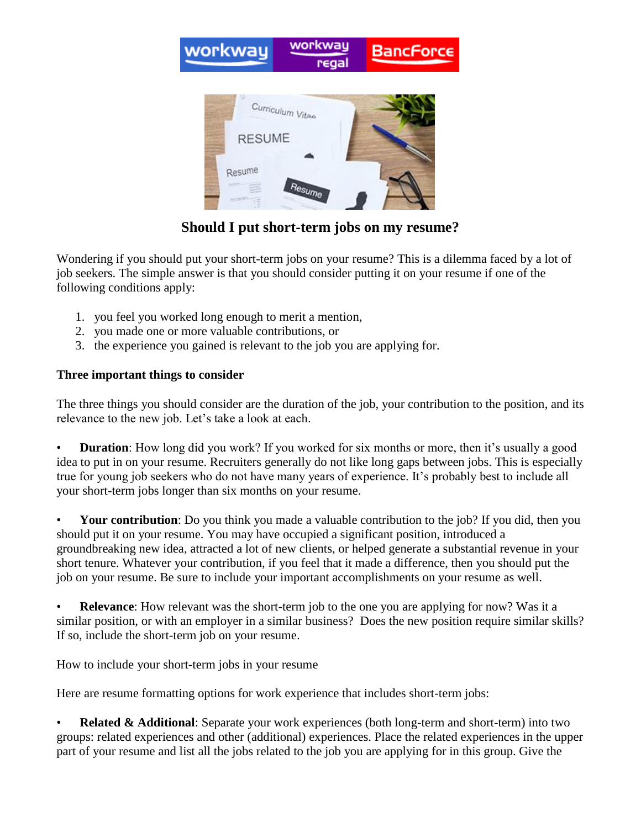

**Should I put short-term jobs on my resume?**

Wondering if you should put your short-term jobs on your resume? This is a dilemma faced by a lot of job seekers. The simple answer is that you should consider putting it on your resume if one of the following conditions apply:

- 1. you feel you worked long enough to merit a mention,
- 2. you made one or more valuable contributions, or
- 3. the experience you gained is relevant to the job you are applying for.

## **Three important things to consider**

The three things you should consider are the duration of the job, your contribution to the position, and its relevance to the new job. Let's take a look at each.

**Duration**: How long did you work? If you worked for six months or more, then it's usually a good idea to put in on your resume. Recruiters generally do not like long gaps between jobs. This is especially true for young job seekers who do not have many years of experience. It's probably best to include all your short-term jobs longer than six months on your resume.

**Your contribution**: Do you think you made a valuable contribution to the job? If you did, then you should put it on your resume. You may have occupied a significant position, introduced a groundbreaking new idea, attracted a lot of new clients, or helped generate a substantial revenue in your short tenure. Whatever your contribution, if you feel that it made a difference, then you should put the job on your resume. Be sure to include your important accomplishments on your resume as well.

**Relevance**: How relevant was the short-term job to the one you are applying for now? Was it a similar position, or with an employer in a similar business? Does the new position require similar skills? If so, include the short-term job on your resume.

How to include your short-term jobs in your resume

Here are resume formatting options for work experience that includes short-term jobs:

**Related & Additional:** Separate your work experiences (both long-term and short-term) into two groups: related experiences and other (additional) experiences. Place the related experiences in the upper part of your resume and list all the jobs related to the job you are applying for in this group. Give the